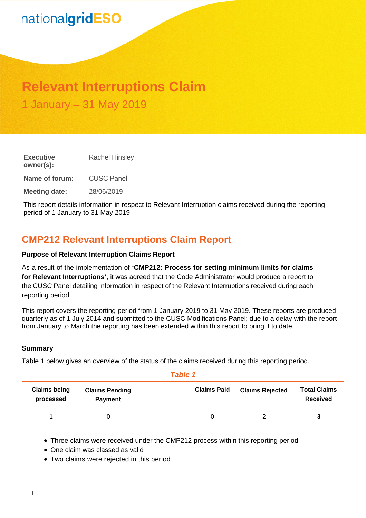# nationalgridESO

# **Relevant Interruptions Claim** 1 January – 31 May 2019

**Executive owner(s):** Rachel Hinsley **Name of forum:** CUSC Panel **Meeting date:** 28/06/2019

This report details information in respect to Relevant Interruption claims received during the reporting period of 1 January to 31 May 2019

# **CMP212 Relevant Interruptions Claim Report**

### **Purpose of Relevant Interruption Claims Report**

As a result of the implementation of **'CMP212: Process for setting minimum limits for claims for Relevant Interruptions'**, it was agreed that the Code Administrator would produce a report to the CUSC Panel detailing information in respect of the Relevant Interruptions received during each reporting period.

This report covers the reporting period from 1 January 2019 to 31 May 2019. These reports are produced quarterly as of 1 July 2014 and submitted to the CUSC Modifications Panel; due to a delay with the report from January to March the reporting has been extended within this report to bring it to date.

#### **Summary**

Table 1 below gives an overview of the status of the claims received during this reporting period.

#### *Table 1*

| <b>Claims being</b><br>processed | <b>Claims Pending</b><br><b>Payment</b> | <b>Claims Paid</b> | <b>Claims Rejected</b> | <b>Total Claims</b><br>Received |
|----------------------------------|-----------------------------------------|--------------------|------------------------|---------------------------------|
|                                  |                                         |                    |                        |                                 |

Three claims were received under the CMP212 process within this reporting period

- One claim was classed as valid
- Two claims were rejected in this period